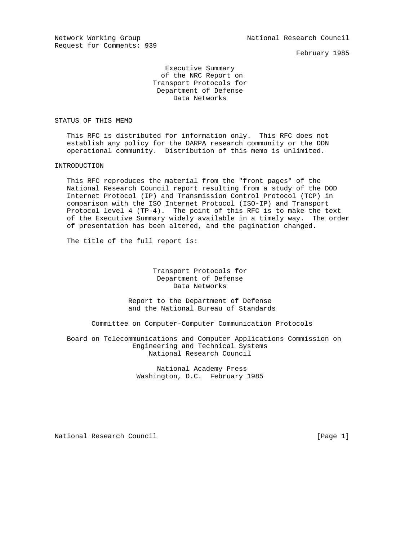Request for Comments: 939

February 1985

 Executive Summary of the NRC Report on Transport Protocols for Department of Defense Data Networks

# STATUS OF THIS MEMO

 This RFC is distributed for information only. This RFC does not establish any policy for the DARPA research community or the DDN operational community. Distribution of this memo is unlimited.

# INTRODUCTION

 This RFC reproduces the material from the "front pages" of the National Research Council report resulting from a study of the DOD Internet Protocol (IP) and Transmission Control Protocol (TCP) in comparison with the ISO Internet Protocol (ISO-IP) and Transport Protocol level 4 (TP-4). The point of this RFC is to make the text of the Executive Summary widely available in a timely way. The order of presentation has been altered, and the pagination changed.

The title of the full report is:

 Transport Protocols for Department of Defense Data Networks

 Report to the Department of Defense and the National Bureau of Standards

Committee on Computer-Computer Communication Protocols

 Board on Telecommunications and Computer Applications Commission on Engineering and Technical Systems National Research Council

> National Academy Press Washington, D.C. February 1985

National Research Council **Example 20** (Page 1)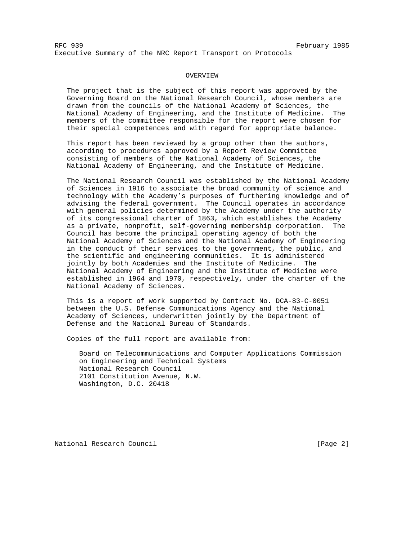## OVERVIEW

 The project that is the subject of this report was approved by the Governing Board on the National Research Council, whose members are drawn from the councils of the National Academy of Sciences, the National Academy of Engineering, and the Institute of Medicine. The members of the committee responsible for the report were chosen for their special competences and with regard for appropriate balance.

 This report has been reviewed by a group other than the authors, according to procedures approved by a Report Review Committee consisting of members of the National Academy of Sciences, the National Academy of Engineering, and the Institute of Medicine.

 The National Research Council was established by the National Academy of Sciences in 1916 to associate the broad community of science and technology with the Academy's purposes of furthering knowledge and of advising the federal government. The Council operates in accordance with general policies determined by the Academy under the authority of its congressional charter of 1863, which establishes the Academy as a private, nonprofit, self-governing membership corporation. The Council has become the principal operating agency of both the National Academy of Sciences and the National Academy of Engineering in the conduct of their services to the government, the public, and the scientific and engineering communities. It is administered jointly by both Academies and the Institute of Medicine. The National Academy of Engineering and the Institute of Medicine were established in 1964 and 1970, respectively, under the charter of the National Academy of Sciences.

 This is a report of work supported by Contract No. DCA-83-C-0051 between the U.S. Defense Communications Agency and the National Academy of Sciences, underwritten jointly by the Department of Defense and the National Bureau of Standards.

Copies of the full report are available from:

 Board on Telecommunications and Computer Applications Commission on Engineering and Technical Systems National Research Council 2101 Constitution Avenue, N.W. Washington, D.C. 20418

National Research Council **Example 2** and  $[Page 2]$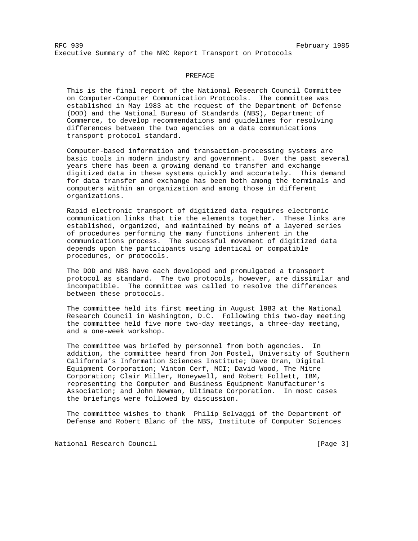## PREFACE

 This is the final report of the National Research Council Committee on Computer-Computer Communication Protocols. The committee was established in May l983 at the request of the Department of Defense (DOD) and the National Bureau of Standards (NBS), Department of Commerce, to develop recommendations and guidelines for resolving differences between the two agencies on a data communications transport protocol standard.

 Computer-based information and transaction-processing systems are basic tools in modern industry and government. Over the past several years there has been a growing demand to transfer and exchange digitized data in these systems quickly and accurately. This demand for data transfer and exchange has been both among the terminals and computers within an organization and among those in different organizations.

 Rapid electronic transport of digitized data requires electronic communication links that tie the elements together. These links are established, organized, and maintained by means of a layered series of procedures performing the many functions inherent in the communications process. The successful movement of digitized data depends upon the participants using identical or compatible procedures, or protocols.

 The DOD and NBS have each developed and promulgated a transport protocol as standard. The two protocols, however, are dissimilar and incompatible. The committee was called to resolve the differences between these protocols.

 The committee held its first meeting in August l983 at the National Research Council in Washington, D.C. Following this two-day meeting the committee held five more two-day meetings, a three-day meeting, and a one-week workshop.

 The committee was briefed by personnel from both agencies. In addition, the committee heard from Jon Postel, University of Southern California's Information Sciences Institute; Dave Oran, Digital Equipment Corporation; Vinton Cerf, MCI; David Wood, The Mitre Corporation; Clair Miller, Honeywell, and Robert Follett, IBM, representing the Computer and Business Equipment Manufacturer's Association; and John Newman, Ultimate Corporation. In most cases the briefings were followed by discussion.

 The committee wishes to thank Philip Selvaggi of the Department of Defense and Robert Blanc of the NBS, Institute of Computer Sciences

National Research Council **Example 20** (Page 3)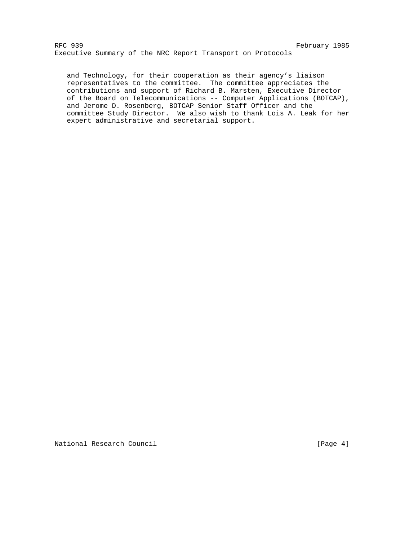and Technology, for their cooperation as their agency's liaison representatives to the committee. The committee appreciates the contributions and support of Richard B. Marsten, Executive Director of the Board on Telecommunications -- Computer Applications (BOTCAP), and Jerome D. Rosenberg, BOTCAP Senior Staff Officer and the committee Study Director. We also wish to thank Lois A. Leak for her expert administrative and secretarial support.

National Research Council **Example 2018** [Page 4]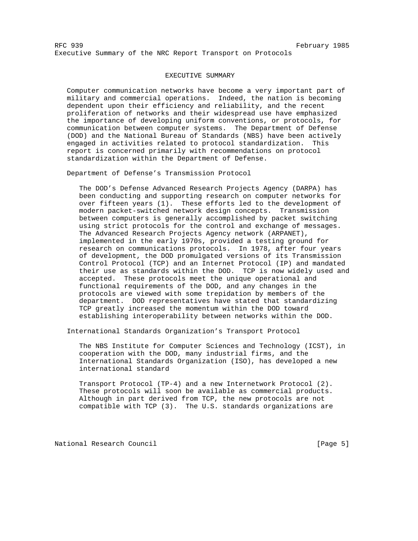## EXECUTIVE SUMMARY

 Computer communication networks have become a very important part of military and commercial operations. Indeed, the nation is becoming dependent upon their efficiency and reliability, and the recent proliferation of networks and their widespread use have emphasized the importance of developing uniform conventions, or protocols, for communication between computer systems. The Department of Defense (DOD) and the National Bureau of Standards (NBS) have been actively engaged in activities related to protocol standardization. This report is concerned primarily with recommendations on protocol standardization within the Department of Defense.

Department of Defense's Transmission Protocol

 The DOD's Defense Advanced Research Projects Agency (DARPA) has been conducting and supporting research on computer networks for over fifteen years (1). These efforts led to the development of modern packet-switched network design concepts. Transmission between computers is generally accomplished by packet switching using strict protocols for the control and exchange of messages. The Advanced Research Projects Agency network (ARPANET), implemented in the early 1970s, provided a testing ground for research on communications protocols. In 1978, after four years of development, the DOD promulgated versions of its Transmission Control Protocol (TCP) and an Internet Protocol (IP) and mandated their use as standards within the DOD. TCP is now widely used and accepted. These protocols meet the unique operational and functional requirements of the DOD, and any changes in the protocols are viewed with some trepidation by members of the department. DOD representatives have stated that standardizing TCP greatly increased the momentum within the DOD toward establishing interoperability between networks within the DOD.

International Standards Organization's Transport Protocol

 The NBS Institute for Computer Sciences and Technology (ICST), in cooperation with the DOD, many industrial firms, and the International Standards Organization (ISO), has developed a new international standard

 Transport Protocol (TP-4) and a new Internetwork Protocol (2). These protocols will soon be available as commercial products. Although in part derived from TCP, the new protocols are not compatible with TCP (3). The U.S. standards organizations are

National Research Council **Example 20** (Page 5)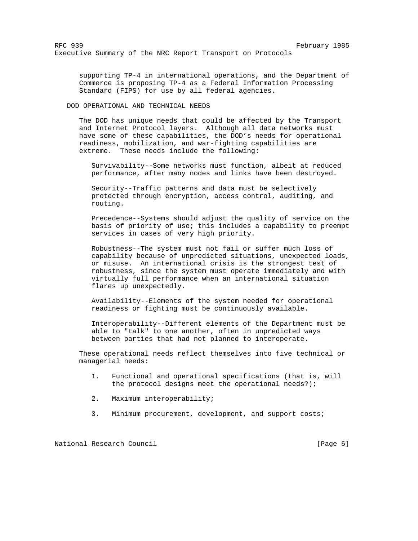supporting TP-4 in international operations, and the Department of Commerce is proposing TP-4 as a Federal Information Processing Standard (FIPS) for use by all federal agencies.

DOD OPERATIONAL AND TECHNICAL NEEDS

 The DOD has unique needs that could be affected by the Transport and Internet Protocol layers. Although all data networks must have some of these capabilities, the DOD's needs for operational readiness, mobilization, and war-fighting capabilities are extreme. These needs include the following:

 Survivability--Some networks must function, albeit at reduced performance, after many nodes and links have been destroyed.

 Security--Traffic patterns and data must be selectively protected through encryption, access control, auditing, and routing.

 Precedence--Systems should adjust the quality of service on the basis of priority of use; this includes a capability to preempt services in cases of very high priority.

 Robustness--The system must not fail or suffer much loss of capability because of unpredicted situations, unexpected loads, or misuse. An international crisis is the strongest test of robustness, since the system must operate immediately and with virtually full performance when an international situation flares up unexpectedly.

 Availability--Elements of the system needed for operational readiness or fighting must be continuously available.

 Interoperability--Different elements of the Department must be able to "talk" to one another, often in unpredicted ways between parties that had not planned to interoperate.

 These operational needs reflect themselves into five technical or managerial needs:

- 1. Functional and operational specifications (that is, will the protocol designs meet the operational needs?);
- 2. Maximum interoperability;
- 3. Minimum procurement, development, and support costs;

National Research Council **Example 20** (Page 6)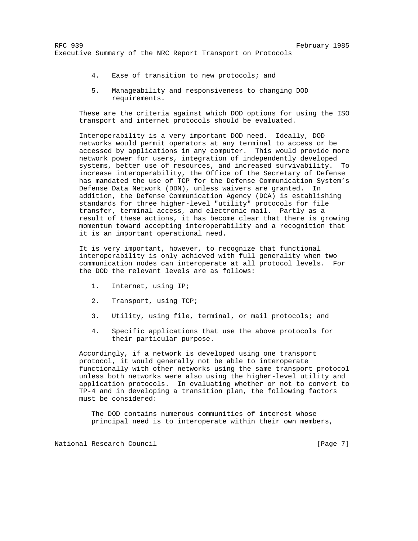- 4. Ease of transition to new protocols; and
- 5. Manageability and responsiveness to changing DOD requirements.

 These are the criteria against which DOD options for using the ISO transport and internet protocols should be evaluated.

 Interoperability is a very important DOD need. Ideally, DOD networks would permit operators at any terminal to access or be accessed by applications in any computer. This would provide more network power for users, integration of independently developed systems, better use of resources, and increased survivability. To increase interoperability, the Office of the Secretary of Defense has mandated the use of TCP for the Defense Communication System's Defense Data Network (DDN), unless waivers are granted. In addition, the Defense Communication Agency (DCA) is establishing standards for three higher-level "utility" protocols for file transfer, terminal access, and electronic mail. Partly as a result of these actions, it has become clear that there is growing momentum toward accepting interoperability and a recognition that it is an important operational need.

 It is very important, however, to recognize that functional interoperability is only achieved with full generality when two communication nodes can interoperate at all protocol levels. For the DOD the relevant levels are as follows:

- 1. Internet, using IP;
- 2. Transport, using TCP;
- 3. Utility, using file, terminal, or mail protocols; and
- 4. Specific applications that use the above protocols for their particular purpose.

 Accordingly, if a network is developed using one transport protocol, it would generally not be able to interoperate functionally with other networks using the same transport protocol unless both networks were also using the higher-level utility and application protocols. In evaluating whether or not to convert to TP-4 and in developing a transition plan, the following factors must be considered:

 The DOD contains numerous communities of interest whose principal need is to interoperate within their own members,

National Research Council **Example 20** (Page 7)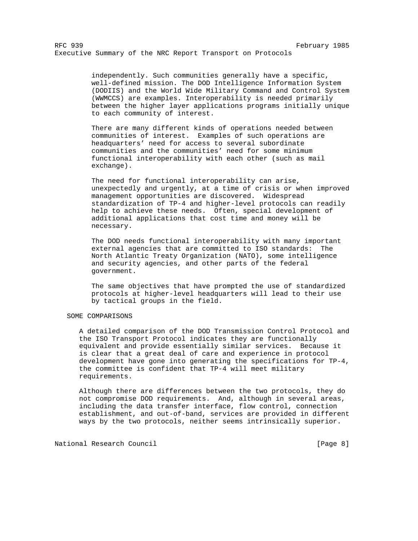independently. Such communities generally have a specific, well-defined mission. The DOD Intelligence Information System (DODIIS) and the World Wide Military Command and Control System (WWMCCS) are examples. Interoperability is needed primarily between the higher layer applications programs initially unique to each community of interest.

 There are many different kinds of operations needed between communities of interest. Examples of such operations are headquarters' need for access to several subordinate communities and the communities' need for some minimum functional interoperability with each other (such as mail exchange).

 The need for functional interoperability can arise, unexpectedly and urgently, at a time of crisis or when improved management opportunities are discovered. Widespread standardization of TP-4 and higher-level protocols can readily help to achieve these needs. Often, special development of additional applications that cost time and money will be necessary.

 The DOD needs functional interoperability with many important external agencies that are committed to ISO standards: The North Atlantic Treaty Organization (NATO), some intelligence and security agencies, and other parts of the federal government.

 The same objectives that have prompted the use of standardized protocols at higher-level headquarters will lead to their use by tactical groups in the field.

# SOME COMPARISONS

 A detailed comparison of the DOD Transmission Control Protocol and the ISO Transport Protocol indicates they are functionally equivalent and provide essentially similar services. Because it is clear that a great deal of care and experience in protocol development have gone into generating the specifications for TP-4, the committee is confident that TP-4 will meet military requirements.

 Although there are differences between the two protocols, they do not compromise DOD requirements. And, although in several areas, including the data transfer interface, flow control, connection establishment, and out-of-band, services are provided in different ways by the two protocols, neither seems intrinsically superior.

National Research Council **Example 20** (Page 8)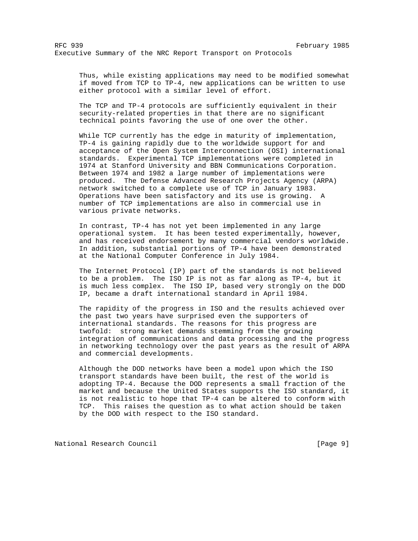Thus, while existing applications may need to be modified somewhat if moved from TCP to TP-4, new applications can be written to use either protocol with a similar level of effort.

 The TCP and TP-4 protocols are sufficiently equivalent in their security-related properties in that there are no significant technical points favoring the use of one over the other.

 While TCP currently has the edge in maturity of implementation, TP-4 is gaining rapidly due to the worldwide support for and acceptance of the Open System Interconnection (OSI) international standards. Experimental TCP implementations were completed in 1974 at Stanford University and BBN Communications Corporation. Between 1974 and 1982 a large number of implementations were produced. The Defense Advanced Research Projects Agency (ARPA) network switched to a complete use of TCP in January 1983. Operations have been satisfactory and its use is growing. A number of TCP implementations are also in commercial use in various private networks.

 In contrast, TP-4 has not yet been implemented in any large operational system. It has been tested experimentally, however, and has received endorsement by many commercial vendors worldwide. In addition, substantial portions of TP-4 have been demonstrated at the National Computer Conference in July 1984.

 The Internet Protocol (IP) part of the standards is not believed to be a problem. The ISO IP is not as far along as TP-4, but it is much less complex. The ISO IP, based very strongly on the DOD IP, became a draft international standard in April 1984.

 The rapidity of the progress in ISO and the results achieved over the past two years have surprised even the supporters of international standards. The reasons for this progress are twofold: strong market demands stemming from the growing integration of communications and data processing and the progress in networking technology over the past years as the result of ARPA and commercial developments.

 Although the DOD networks have been a model upon which the ISO transport standards have been built, the rest of the world is adopting TP-4. Because the DOD represents a small fraction of the market and because the United States supports the ISO standard, it is not realistic to hope that TP-4 can be altered to conform with TCP. This raises the question as to what action should be taken by the DOD with respect to the ISO standard.

National Research Council **Example 20** (Page 9)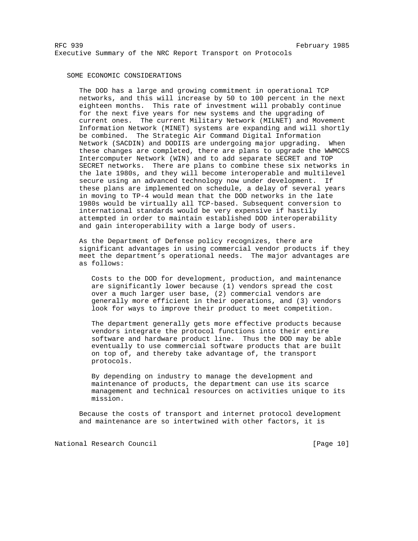## SOME ECONOMIC CONSIDERATIONS

 The DOD has a large and growing commitment in operational TCP networks, and this will increase by 50 to 100 percent in the next eighteen months. This rate of investment will probably continue for the next five years for new systems and the upgrading of current ones. The current Military Network (MILNET) and Movement Information Network (MINET) systems are expanding and will shortly be combined. The Strategic Air Command Digital Information Network (SACDIN) and DODIIS are undergoing major upgrading. When these changes are completed, there are plans to upgrade the WWMCCS Intercomputer Network (WIN) and to add separate SECRET and TOP SECRET networks. There are plans to combine these six networks in the late 1980s, and they will become interoperable and multilevel secure using an advanced technology now under development. If these plans are implemented on schedule, a delay of several years in moving to TP-4 would mean that the DOD networks in the late 1980s would be virtually all TCP-based. Subsequent conversion to international standards would be very expensive if hastily attempted in order to maintain established DOD interoperability and gain interoperability with a large body of users.

 As the Department of Defense policy recognizes, there are significant advantages in using commercial vendor products if they meet the department's operational needs. The major advantages are as follows:

 Costs to the DOD for development, production, and maintenance are significantly lower because (1) vendors spread the cost over a much larger user base, (2) commercial vendors are generally more efficient in their operations, and (3) vendors look for ways to improve their product to meet competition.

 The department generally gets more effective products because vendors integrate the protocol functions into their entire software and hardware product line. Thus the DOD may be able eventually to use commercial software products that are built on top of, and thereby take advantage of, the transport protocols.

 By depending on industry to manage the development and maintenance of products, the department can use its scarce management and technical resources on activities unique to its mission.

 Because the costs of transport and internet protocol development and maintenance are so intertwined with other factors, it is

National Research Council **Example 20** (Page 10)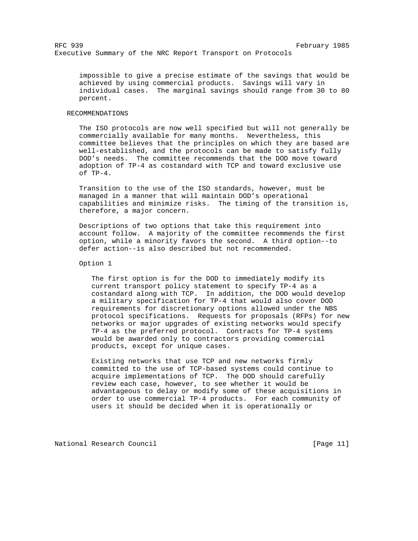impossible to give a precise estimate of the savings that would be achieved by using commercial products. Savings will vary in individual cases. The marginal savings should range from 30 to 80 percent.

## RECOMMENDATIONS

 The ISO protocols are now well specified but will not generally be commercially available for many months. Nevertheless, this committee believes that the principles on which they are based are well-established, and the protocols can be made to satisfy fully DOD's needs. The committee recommends that the DOD move toward adoption of TP-4 as costandard with TCP and toward exclusive use of TP-4.

 Transition to the use of the ISO standards, however, must be managed in a manner that will maintain DOD's operational capabilities and minimize risks. The timing of the transition is, therefore, a major concern.

 Descriptions of two options that take this requirement into account follow. A majority of the committee recommends the first option, while a minority favors the second. A third option--to defer action--is also described but not recommended.

# Option 1

 The first option is for the DOD to immediately modify its current transport policy statement to specify TP-4 as a costandard along with TCP. In addition, the DOD would develop a military specification for TP-4 that would also cover DOD requirements for discretionary options allowed under the NBS protocol specifications. Requests for proposals (RFPs) for new networks or major upgrades of existing networks would specify TP-4 as the preferred protocol. Contracts for TP-4 systems would be awarded only to contractors providing commercial products, except for unique cases.

 Existing networks that use TCP and new networks firmly committed to the use of TCP-based systems could continue to acquire implementations of TCP. The DOD should carefully review each case, however, to see whether it would be advantageous to delay or modify some of these acquisitions in order to use commercial TP-4 products. For each community of users it should be decided when it is operationally or

National Research Council **Example 20** (Page 11)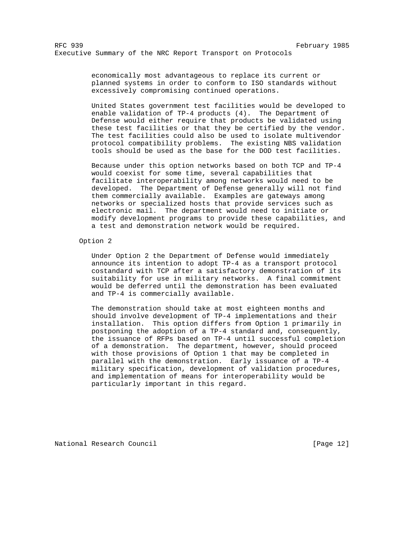economically most advantageous to replace its current or planned systems in order to conform to ISO standards without excessively compromising continued operations.

 United States government test facilities would be developed to enable validation of TP-4 products (4). The Department of Defense would either require that products be validated using these test facilities or that they be certified by the vendor. The test facilities could also be used to isolate multivendor protocol compatibility problems. The existing NBS validation tools should be used as the base for the DOD test facilities.

 Because under this option networks based on both TCP and TP-4 would coexist for some time, several capabilities that facilitate interoperability among networks would need to be developed. The Department of Defense generally will not find them commercially available. Examples are gateways among networks or specialized hosts that provide services such as electronic mail. The department would need to initiate or modify development programs to provide these capabilities, and a test and demonstration network would be required.

# Option 2

 Under Option 2 the Department of Defense would immediately announce its intention to adopt TP-4 as a transport protocol costandard with TCP after a satisfactory demonstration of its suitability for use in military networks. A final commitment would be deferred until the demonstration has been evaluated and TP-4 is commercially available.

 The demonstration should take at most eighteen months and should involve development of TP-4 implementations and their installation. This option differs from Option 1 primarily in postponing the adoption of a TP-4 standard and, consequently, the issuance of RFPs based on TP-4 until successful completion of a demonstration. The department, however, should proceed with those provisions of Option 1 that may be completed in parallel with the demonstration. Early issuance of a TP-4 military specification, development of validation procedures, and implementation of means for interoperability would be particularly important in this regard.

National Research Council **Example 20** (Page 12)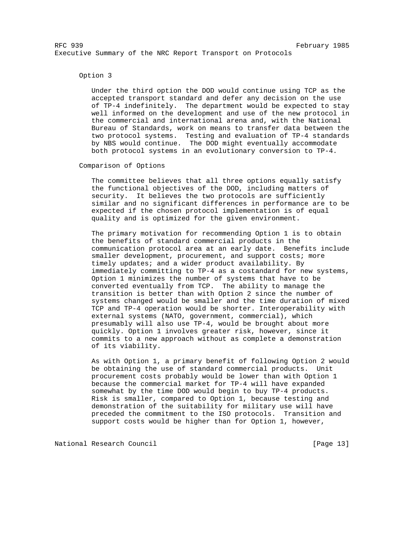## Option 3

 Under the third option the DOD would continue using TCP as the accepted transport standard and defer any decision on the use of TP-4 indefinitely. The department would be expected to stay well informed on the development and use of the new protocol in the commercial and international arena and, with the National Bureau of Standards, work on means to transfer data between the two protocol systems. Testing and evaluation of TP-4 standards by NBS would continue. The DOD might eventually accommodate both protocol systems in an evolutionary conversion to TP-4.

# Comparison of Options

 The committee believes that all three options equally satisfy the functional objectives of the DOD, including matters of security. It believes the two protocols are sufficiently similar and no significant differences in performance are to be expected if the chosen protocol implementation is of equal quality and is optimized for the given environment.

 The primary motivation for recommending Option 1 is to obtain the benefits of standard commercial products in the communication protocol area at an early date. Benefits include smaller development, procurement, and support costs; more timely updates; and a wider product availability. By immediately committing to TP-4 as a costandard for new systems, Option 1 minimizes the number of systems that have to be converted eventually from TCP. The ability to manage the transition is better than with Option 2 since the number of systems changed would be smaller and the time duration of mixed TCP and TP-4 operation would be shorter. Interoperability with external systems (NATO, government, commercial), which presumably will also use TP-4, would be brought about more quickly. Option 1 involves greater risk, however, since it commits to a new approach without as complete a demonstration of its viability.

 As with Option 1, a primary benefit of following Option 2 would be obtaining the use of standard commercial products. Unit procurement costs probably would be lower than with Option 1 because the commercial market for TP-4 will have expanded somewhat by the time DOD would begin to buy TP-4 products. Risk is smaller, compared to Option 1, because testing and demonstration of the suitability for military use will have preceded the commitment to the ISO protocols. Transition and support costs would be higher than for Option 1, however,

National Research Council **Example 20** (Page 13)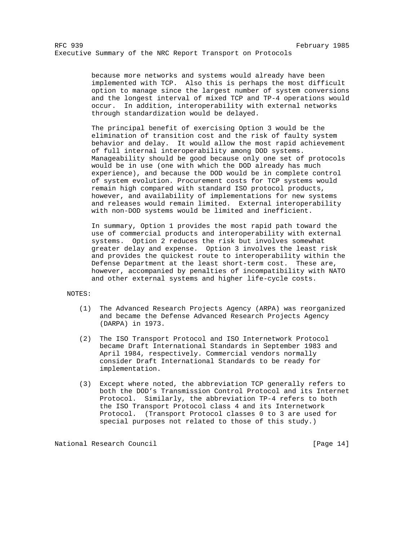because more networks and systems would already have been implemented with TCP. Also this is perhaps the most difficult option to manage since the largest number of system conversions and the longest interval of mixed TCP and TP-4 operations would occur. In addition, interoperability with external networks through standardization would be delayed.

 The principal benefit of exercising Option 3 would be the elimination of transition cost and the risk of faulty system behavior and delay. It would allow the most rapid achievement of full internal interoperability among DOD systems. Manageability should be good because only one set of protocols would be in use (one with which the DOD already has much experience), and because the DOD would be in complete control of system evolution. Procurement costs for TCP systems would remain high compared with standard ISO protocol products, however, and availability of implementations for new systems and releases would remain limited. External interoperability with non-DOD systems would be limited and inefficient.

 In summary, Option 1 provides the most rapid path toward the use of commercial products and interoperability with external systems. Option 2 reduces the risk but involves somewhat greater delay and expense. Option 3 involves the least risk and provides the quickest route to interoperability within the Defense Department at the least short-term cost. These are, however, accompanied by penalties of incompatibility with NATO and other external systems and higher life-cycle costs.

#### NOTES:

- (1) The Advanced Research Projects Agency (ARPA) was reorganized and became the Defense Advanced Research Projects Agency (DARPA) in 1973.
- (2) The ISO Transport Protocol and ISO Internetwork Protocol became Draft International Standards in September 1983 and April 1984, respectively. Commercial vendors normally consider Draft International Standards to be ready for implementation.
- (3) Except where noted, the abbreviation TCP generally refers to both the DOD's Transmission Control Protocol and its Internet Protocol. Similarly, the abbreviation TP-4 refers to both the ISO Transport Protocol class 4 and its Internetwork Protocol. (Transport Protocol classes 0 to 3 are used for special purposes not related to those of this study.)

National Research Council **Example 20** (Page 14)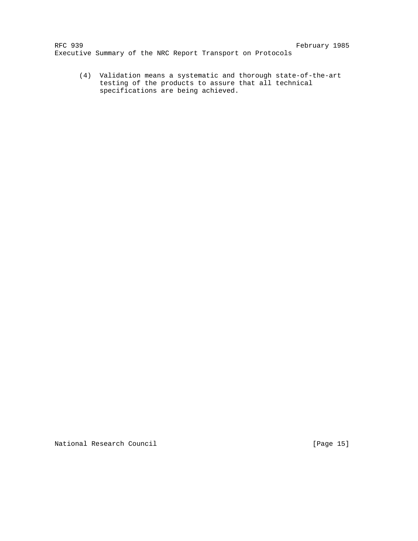(4) Validation means a systematic and thorough state-of-the-art testing of the products to assure that all technical specifications are being achieved.

National Research Council **Example 20** (Page 15)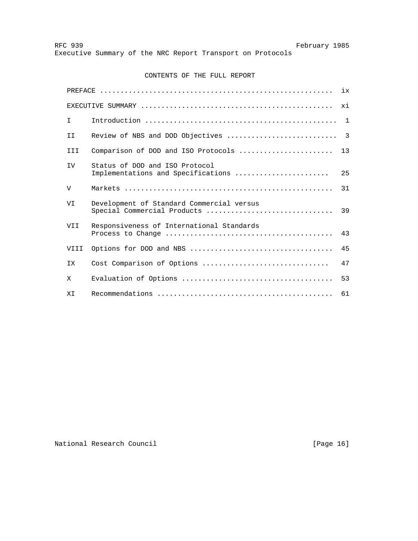# CONTENTS OF THE FULL REPORT

|              |                                                                          | ix             |
|--------------|--------------------------------------------------------------------------|----------------|
|              |                                                                          | xi             |
| T.           |                                                                          |                |
| ΙI           | Review of NBS and DOD Objectives                                         | $\overline{3}$ |
| III          | Comparison of DOD and ISO Protocols                                      | 13             |
| <b>IV</b>    | Status of DOD and ISO Protocol<br>Implementations and Specifications     | 25             |
| $\mathbf{V}$ |                                                                          | 31             |
| VI           | Development of Standard Commercial versus<br>Special Commercial Products | 39             |
| VII          | Responsiveness of International Standards                                | 43             |
| VIII         |                                                                          | 45             |
| ΙX.          | Cost Comparison of Options                                               | 47             |
| X            |                                                                          | 53             |
| ΧI           |                                                                          | 61             |

National Research Council **Example 20** (Page 16)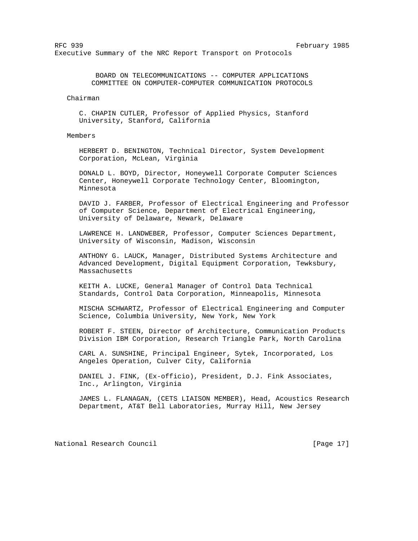BOARD ON TELECOMMUNICATIONS -- COMPUTER APPLICATIONS COMMITTEE ON COMPUTER-COMPUTER COMMUNICATION PROTOCOLS

# Chairman

 C. CHAPIN CUTLER, Professor of Applied Physics, Stanford University, Stanford, California

# Members

 HERBERT D. BENINGTON, Technical Director, System Development Corporation, McLean, Virginia

 DONALD L. BOYD, Director, Honeywell Corporate Computer Sciences Center, Honeywell Corporate Technology Center, Bloomington, Minnesota

 DAVID J. FARBER, Professor of Electrical Engineering and Professor of Computer Science, Department of Electrical Engineering, University of Delaware, Newark, Delaware

 LAWRENCE H. LANDWEBER, Professor, Computer Sciences Department, University of Wisconsin, Madison, Wisconsin

 ANTHONY G. LAUCK, Manager, Distributed Systems Architecture and Advanced Development, Digital Equipment Corporation, Tewksbury, Massachusetts

 KEITH A. LUCKE, General Manager of Control Data Technical Standards, Control Data Corporation, Minneapolis, Minnesota

 MISCHA SCHWARTZ, Professor of Electrical Engineering and Computer Science, Columbia University, New York, New York

 ROBERT F. STEEN, Director of Architecture, Communication Products Division IBM Corporation, Research Triangle Park, North Carolina

 CARL A. SUNSHINE, Principal Engineer, Sytek, Incorporated, Los Angeles Operation, Culver City, California

 DANIEL J. FINK, (Ex-officio), President, D.J. Fink Associates, Inc., Arlington, Virginia

 JAMES L. FLANAGAN, (CETS LIAISON MEMBER), Head, Acoustics Research Department, AT&T Bell Laboratories, Murray Hill, New Jersey

National Research Council **Example 20** (Page 17)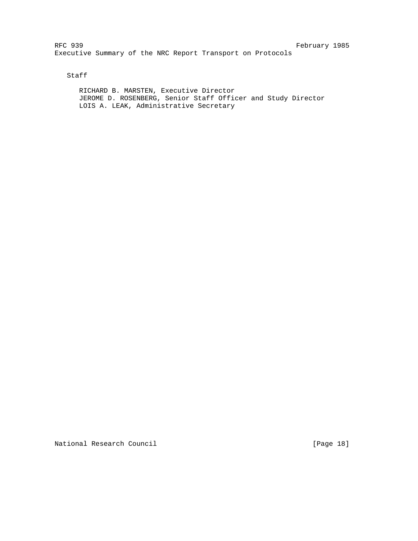Staff

 RICHARD B. MARSTEN, Executive Director JEROME D. ROSENBERG, Senior Staff Officer and Study Director LOIS A. LEAK, Administrative Secretary

National Research Council **Example 20** (Page 18)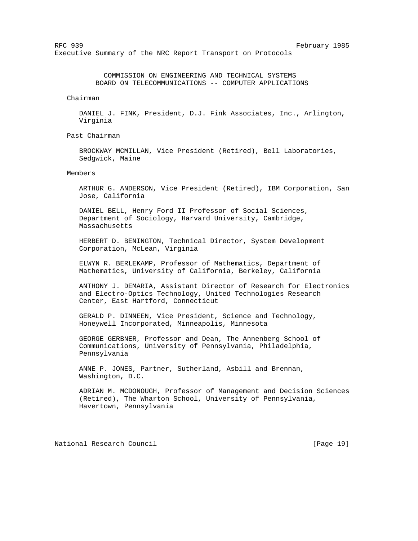COMMISSION ON ENGINEERING AND TECHNICAL SYSTEMS BOARD ON TELECOMMUNICATIONS -- COMPUTER APPLICATIONS

Chairman

 DANIEL J. FINK, President, D.J. Fink Associates, Inc., Arlington, Virginia

Past Chairman

 BROCKWAY MCMILLAN, Vice President (Retired), Bell Laboratories, Sedgwick, Maine

# Members

 ARTHUR G. ANDERSON, Vice President (Retired), IBM Corporation, San Jose, California

 DANIEL BELL, Henry Ford II Professor of Social Sciences, Department of Sociology, Harvard University, Cambridge, Massachusetts

 HERBERT D. BENINGTON, Technical Director, System Development Corporation, McLean, Virginia

 ELWYN R. BERLEKAMP, Professor of Mathematics, Department of Mathematics, University of California, Berkeley, California

 ANTHONY J. DEMARIA, Assistant Director of Research for Electronics and Electro-Optics Technology, United Technologies Research Center, East Hartford, Connecticut

 GERALD P. DINNEEN, Vice President, Science and Technology, Honeywell Incorporated, Minneapolis, Minnesota

 GEORGE GERBNER, Professor and Dean, The Annenberg School of Communications, University of Pennsylvania, Philadelphia, Pennsylvania

 ANNE P. JONES, Partner, Sutherland, Asbill and Brennan, Washington, D.C.

 ADRIAN M. MCDONOUGH, Professor of Management and Decision Sciences (Retired), The Wharton School, University of Pennsylvania, Havertown, Pennsylvania

National Research Council **Example 20** (Page 19)